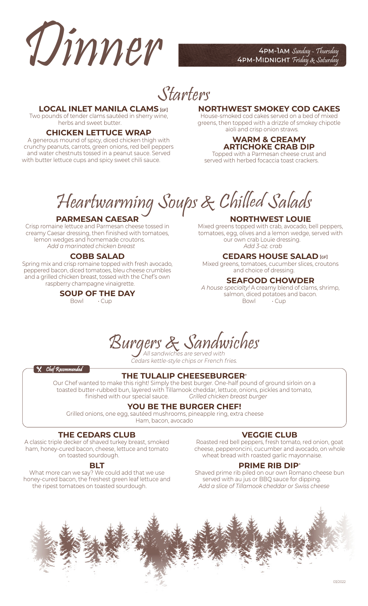

4PM-MIDNIGHT Friday & Saturday

Starters

## **LOCAL INLET MANILA CLAMS [GF]**

Two pounds of tender clams sautéed in sherry wine, herbs and sweet butter.

# **CHICKEN LETTUCE WRAP**

A generous mound of spicy, diced chicken thigh with crunchy peanuts, carrots, green onions, red bell peppers and water chestnuts tossed in a peanut sauce. Served with butter lettuce cups and spicy sweet chili sauce.

# **NORTHWEST SMOKEY COD CAKES**

House-smoked cod cakes served on a bed of mixed greens, then topped with a drizzle of smokey chipotle aioli and crisp onion straws.

#### **WARM & CREAMY ARTICHOKE CRAB DIP**

Topped with a Parmesan cheese crust and served with herbed focaccia toast crackers.

Heartwarming Soups & Chilled Salads

# **PARMESAN CAESAR**

Crisp romaine lettuce and Parmesan cheese tossed in creamy Caesar dressing, then finished with tomatoes, lemon wedges and homemade croutons. *Add a marinated chicken breast 5.25*

## **COBB SALAD**

Spring mix and crisp romaine topped with fresh avocado, peppered bacon, diced tomatoes, bleu cheese crumbles and a grilled chicken breast, tossed with the Chef's own raspberry champagne vinaigrette. **13.50**

> **SOUP OF THE DAY**<br>Bowl Cup Bowl **7.00** • Cup **5.50**

# **NORTHWEST LOUIE**

Mixed greens topped with crab, avocado, bell peppers, tomatoes, egg, olives and a lemon wedge, served with our own crab Louie dressing. *Add 3-oz. crab 15.00*

## **CEDARS HOUSE SALAD [GF]**

Mixed greens, tomatoes, cucumber slices, croutons and choice of dressing. **6.50**

# **SEAFOOD CHOWDER**

*A house specialty!* A creamy blend of clams, shrimp, salmon, diced potatoes and bacon.<br>Bowl  $\cdot$  Cup Bowl **8.00** • Cup **6.50**

Burgers & Sandwiches

Cedars kettle-style chips or French fries.

**X** Chef Recommended

#### **THE TULALIP CHEESEBURGER**\*

Our Chef wanted to make this right! Simply the best burger. One-half pound of ground sirloin on a toasted butter-rubbed bun, layered with Tillamook cheddar, lettuce, onions, pickles and tomato,<br>finished with our special sauce. *Grilled chicken breast burger* finished with our special sauce. **13.50** *Grilled chicken breast burger 13.50*

# **YOU BE THE BURGER CHEF!**

Grilled onions, one egg, sautéed mushrooms, pineapple ring, extra cheese Ham, bacon, avocado

### **THE CEDARS CLUB**

A classic triple decker of shaved turkey breast, smoked ham, honey-cured bacon, cheese, lettuce and tomato on toasted sourdough.

#### **BLT**

What more can we say? We could add that we use honey-cured bacon, the freshest green leaf lettuce and the ripest tomatoes on toasted sourdough. **12.50**

# **VEGGIE CLUB**

Roasted red bell peppers, fresh tomato, red onion, goat cheese, pepperoncini, cucumber and avocado, on whole wheat bread with roasted garlic mayonnaise. **12.50**

#### **PRIME RIB DIP**\*

Shaved prime rib piled on our own Romano cheese bun served with au jus or BBQ sauce for dipping. *Add a slice of Tillamook cheddar or Swiss cheese 1.25*